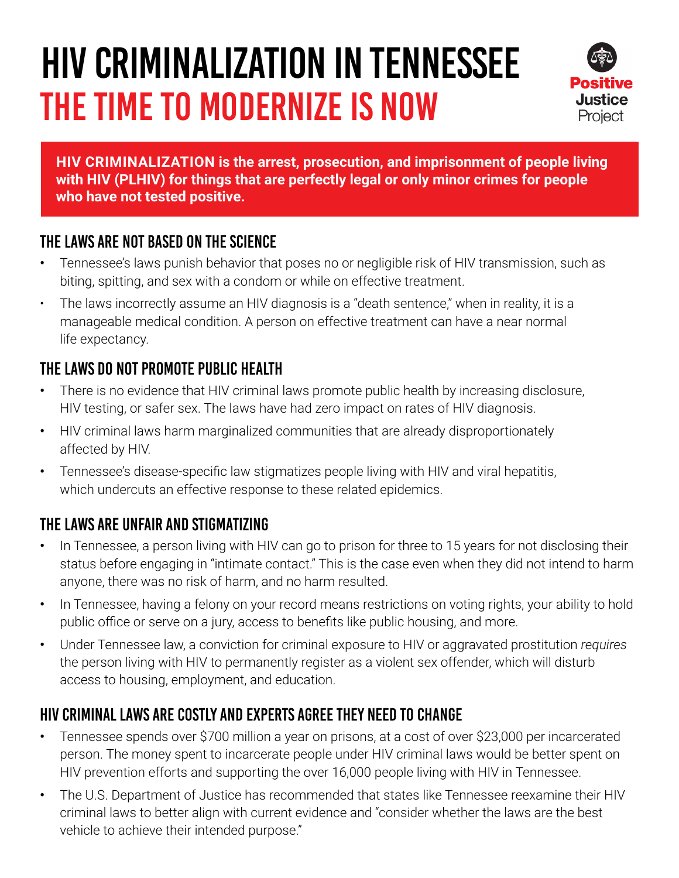# HIV CRIMINALIZATION IN TENNESSEE THE TIME TO MODERNIZE IS NOW



**HIV CRIMINALIZATION is the arrest, prosecution, and imprisonment of people living with HIV (PLHIV) for things that are perfectly legal or only minor crimes for people who have not tested positive.**

#### The laws are not based on the science

- **•** Tennessee's laws punish behavior that poses no or negligible risk of HIV transmission, such as biting, spitting, and sex with a condom or while on effective treatment.
- The laws incorrectly assume an HIV diagnosis is a "death sentence," when in reality, it is a manageable medical condition. A person on effective treatment can have a near normal life expectancy.

### The laws do not promote public health

- **•** There is no evidence that HIV criminal laws promote public health by increasing disclosure, HIV testing, or safer sex. The laws have had zero impact on rates of HIV diagnosis.
- **•** HIV criminal laws harm marginalized communities that are already disproportionately affected by HIV.
- **•** Tennessee's disease-specific law stigmatizes people living with HIV and viral hepatitis, which undercuts an effective response to these related epidemics.

## The laws are unfair and stigmatizing

- **•** In Tennessee, a person living with HIV can go to prison for three to 15 years for not disclosing their status before engaging in "intimate contact." This is the case even when they did not intend to harm anyone, there was no risk of harm, and no harm resulted.
- **•** In Tennessee, having a felony on your record means restrictions on voting rights, your ability to hold public office or serve on a jury, access to benefits like public housing, and more.
- **•** Under Tennessee law, a conviction for criminal exposure to HIV or aggravated prostitution *requires* the person living with HIV to permanently register as a violent sex offender, which will disturb access to housing, employment, and education.

#### HIV criminal laws are costly and experts agree they need to change

- **•** Tennessee spends over \$700 million a year on prisons, at a cost of over \$23,000 per incarcerated person. The money spent to incarcerate people under HIV criminal laws would be better spent on HIV prevention efforts and supporting the over 16,000 people living with HIV in Tennessee.
- **•** The U.S. Department of Justice has recommended that states like Tennessee reexamine their HIV criminal laws to better align with current evidence and "consider whether the laws are the best vehicle to achieve their intended purpose."